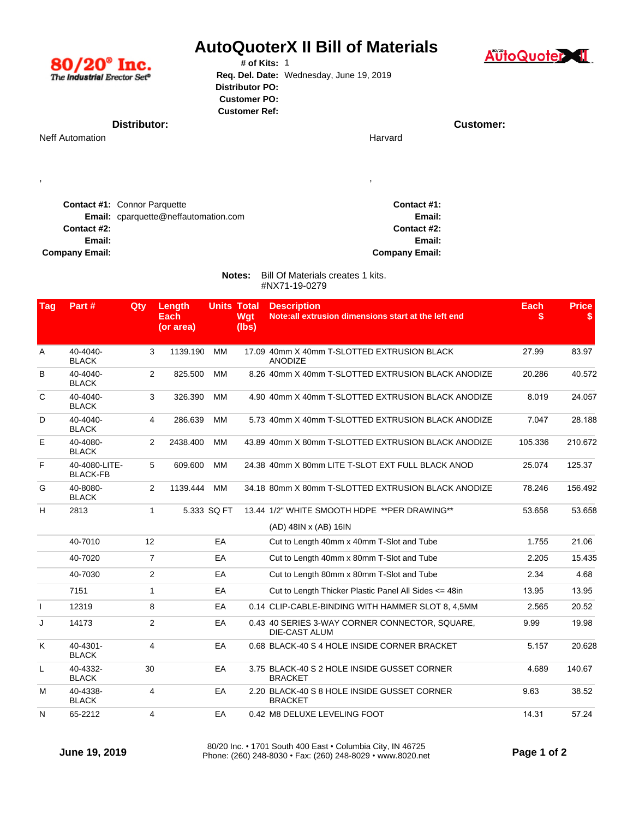| $80/20^{\circ}$ Inc.<br>The Industrial Erector Set®                         | <b>AutoQuoterX II Bill of Materials</b><br># of Kits: $1$<br>Req. Del. Date: Wednesday, June 19, 2019<br><b>Distributor PO:</b><br><b>Customer PO:</b><br><b>Customer Ref:</b> |                       | <b>AutoQuote</b> |  |
|-----------------------------------------------------------------------------|--------------------------------------------------------------------------------------------------------------------------------------------------------------------------------|-----------------------|------------------|--|
| Distributor:                                                                |                                                                                                                                                                                |                       | Customer:        |  |
| <b>Neff Automation</b>                                                      |                                                                                                                                                                                | Harvard               |                  |  |
| $\cdot$                                                                     |                                                                                                                                                                                |                       |                  |  |
| <b>Contact #1: Connor Parquette</b><br>Email: cparquette@neffautomation.com |                                                                                                                                                                                | Contact #1:<br>Email: |                  |  |

**Notes:** Bill Of Materials creates 1 kits. **Company Email:**

#NX71-19-0279

**Contact #2: Email:**

| <b>Tag</b>   | Part#                            | Qty            | Length<br>Each<br>(or area) |             | <b>Units Total</b><br>Wgt<br>(lbs) | <b>Description</b><br>Note: all extrusion dimensions start at the left end | <b>Each</b><br>S | <b>Price</b><br>S |
|--------------|----------------------------------|----------------|-----------------------------|-------------|------------------------------------|----------------------------------------------------------------------------|------------------|-------------------|
| A            | 40-4040-<br><b>BLACK</b>         | 3              | 1139.190                    | MM          |                                    | 17.09 40mm X 40mm T-SLOTTED EXTRUSION BLACK<br><b>ANODIZE</b>              | 27.99            | 83.97             |
| в            | 40-4040-<br><b>BLACK</b>         | 2              | 825.500                     | MM          |                                    | 8.26 40mm X 40mm T-SLOTTED EXTRUSION BLACK ANODIZE                         | 20.286           | 40.572            |
| C            | 40-4040-<br><b>BLACK</b>         | 3              | 326.390                     | MM          |                                    | 4.90 40mm X 40mm T-SLOTTED EXTRUSION BLACK ANODIZE                         | 8.019            | 24.057            |
| D            | 40-4040-<br><b>BLACK</b>         | 4              | 286.639                     | MM          |                                    | 5.73 40mm X 40mm T-SLOTTED EXTRUSION BLACK ANODIZE                         | 7.047            | 28.188            |
| Е            | 40-4080-<br><b>BLACK</b>         | 2              | 2438.400                    | MM          |                                    | 43.89 40mm X 80mm T-SLOTTED EXTRUSION BLACK ANODIZE                        | 105.336          | 210.672           |
| F            | 40-4080-LITE-<br><b>BLACK-FB</b> | 5              | 609.600                     | MM          |                                    | 24.38 40mm X 80mm LITE T-SLOT EXT FULL BLACK ANOD                          | 25.074           | 125.37            |
| G            | 40-8080-<br><b>BLACK</b>         | 2              | 1139.444                    | <b>MM</b>   |                                    | 34.18 80mm X 80mm T-SLOTTED EXTRUSION BLACK ANODIZE                        | 78.246           | 156.492           |
| H            | 2813                             | 1              |                             | 5.333 SQ FT |                                    | 13.44 1/2" WHITE SMOOTH HDPE **PER DRAWING**<br>(AD) 48IN x (AB) 16IN      | 53.658           | 53.658            |
|              | 40-7010                          | 12             |                             | EA          |                                    | Cut to Length 40mm x 40mm T-Slot and Tube                                  | 1.755            | 21.06             |
|              | 40-7020                          | $\overline{7}$ |                             | EA          |                                    | Cut to Length 40mm x 80mm T-Slot and Tube                                  | 2.205            | 15.435            |
|              | 40-7030                          | 2              |                             | EA          |                                    | Cut to Length 80mm x 80mm T-Slot and Tube                                  | 2.34             | 4.68              |
|              | 7151                             | $\mathbf{1}$   |                             | EA          |                                    | Cut to Length Thicker Plastic Panel All Sides <= 48in                      | 13.95            | 13.95             |
| $\mathbf{I}$ | 12319                            | 8              |                             | EA          |                                    | 0.14 CLIP-CABLE-BINDING WITH HAMMER SLOT 8, 4,5MM                          | 2.565            | 20.52             |
| J            | 14173                            | $\overline{2}$ |                             | EA          |                                    | 0.43 40 SERIES 3-WAY CORNER CONNECTOR, SQUARE,<br><b>DIE-CAST ALUM</b>     | 9.99             | 19.98             |
| Κ            | 40-4301-<br><b>BLACK</b>         | $\overline{4}$ |                             | EA          |                                    | 0.68 BLACK-40 S 4 HOLE INSIDE CORNER BRACKET                               | 5.157            | 20.628            |
| L            | 40-4332-<br><b>BLACK</b>         | 30             |                             | EA          |                                    | 3.75 BLACK-40 S 2 HOLE INSIDE GUSSET CORNER<br><b>BRACKET</b>              | 4.689            | 140.67            |
| м            | 40-4338-<br><b>BLACK</b>         | 4              |                             | EA          |                                    | 2.20 BLACK-40 S 8 HOLE INSIDE GUSSET CORNER<br><b>BRACKET</b>              | 9.63             | 38.52             |
| N            | 65-2212                          | 4              |                             | EA          |                                    | 0.42 M8 DELUXE LEVELING FOOT                                               | 14.31            | 57.24             |

**Contact #2: Email:**

**Company Email:**

80/20 Inc. • 1701 South 400 East • Columbia City, IN 46725<br>Phone: (260) 248-8030 • Fax: (260) 248-8029 • www.8020.net **Page 1 of 2** 

**PERIE**